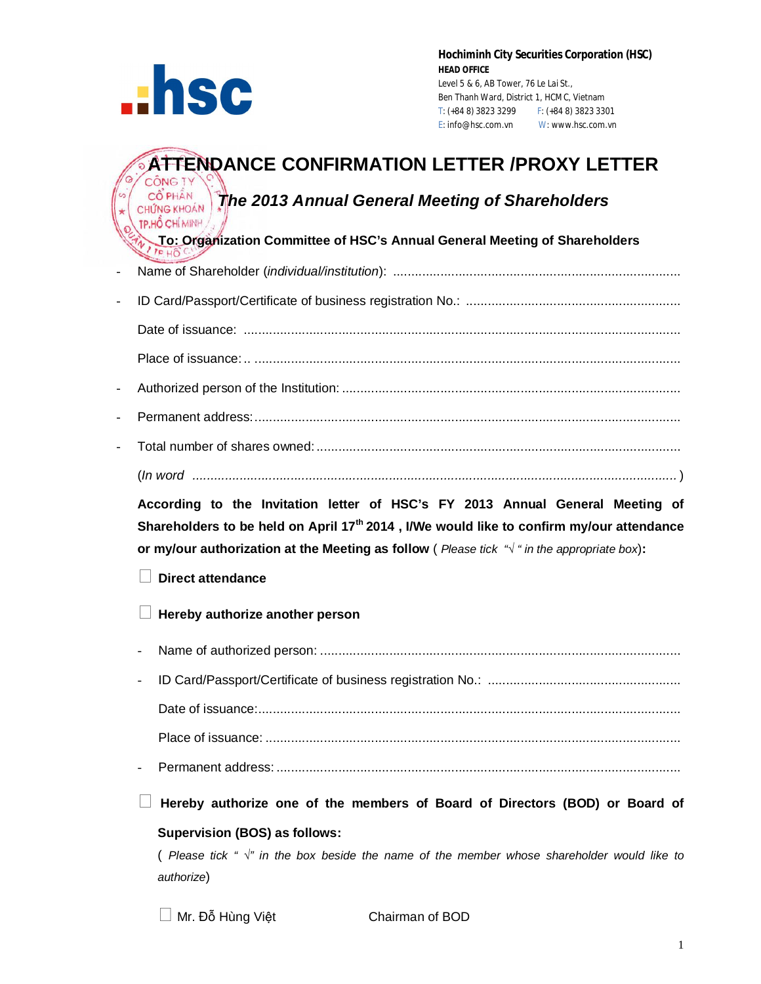

**Hochiminh City Securities Corporation (HSC) HEAD OFFICE** Level 5 & 6, AB Tower, 76 Le Lai St., Ben Thanh Ward, District 1, HCMC, Vietnam T: (+84 8) 3823 3299 F: (+84 8) 3823 3301 E: info@hsc.com.vn W: www.hsc.com.vn

# **ATTENDANCE CONFIRMATION LETTER /PROXY LETTER CÔNG TY**

# *CÔ PHÂN Annual General Meeting of Shareholders CHỨNG KHOÁN* TP.HỐ CHÍ MINH

 **To: Organization Committee of HSC's Annual General Meeting of Shareholders**

- Name of Shareholder (*individual/institution*): ............................................................................... - ID Card/Passport/Certificate of business registration No.: ........................................................... Date of issuance: ........................................................................................................................ Place of issuance: .. ..................................................................................................................... - Authorized person of the Institution: ............................................................................................. - Permanent address:..................................................................................................................... - Total number of shares owned: .................................................................................................... (*In word .....................................................................................................................................* )

**According to the Invitation letter of HSC's FY 2013 Annual General Meeting of Shareholders to be held on April 17th 2014 , I/We would like to confirm my/our attendance or my/our authorization at the Meeting as follow** ( *Please tick "√ " in the appropriate box*)**:**

## **Direct attendance**

## **Hereby authorize another person**

- Name of authorized person: ...................................................................................................
- ID Card/Passport/Certificate of business registration No.: ..................................................... Date of issuance:.................................................................................................................... Place of issuance: ..................................................................................................................
- Permanent address: ...............................................................................................................

 **Hereby authorize one of the members of Board of Directors (BOD) or Board of Supervision (BOS) as follows:**

( *Please tick " √" in the box beside the name of the member whose shareholder would like to authorize*)

 $\Box$  Mr. Đỗ Hùng Việt Chairman of BOD